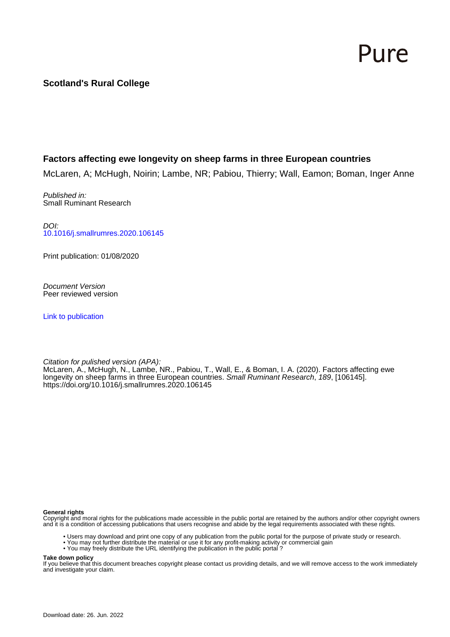# Pure

## **Scotland's Rural College**

## **Factors affecting ewe longevity on sheep farms in three European countries**

McLaren, A; McHugh, Noirin; Lambe, NR; Pabiou, Thierry; Wall, Eamon; Boman, Inger Anne

Published in: Small Ruminant Research

DOI: [10.1016/j.smallrumres.2020.106145](https://doi.org/10.1016/j.smallrumres.2020.106145)

Print publication: 01/08/2020

Document Version Peer reviewed version

[Link to publication](https://pure.sruc.ac.uk/en/publications/e7696d0c-a25a-4879-85ae-226448c54222)

Citation for pulished version (APA): McLaren, A., McHugh, N., Lambe, NR., Pabiou, T., Wall, E., & Boman, I. A. (2020). Factors affecting ewe longevity on sheep farms in three European countries. Small Ruminant Research, 189, [106145]. <https://doi.org/10.1016/j.smallrumres.2020.106145>

#### **General rights**

Copyright and moral rights for the publications made accessible in the public portal are retained by the authors and/or other copyright owners and it is a condition of accessing publications that users recognise and abide by the legal requirements associated with these rights.

- Users may download and print one copy of any publication from the public portal for the purpose of private study or research.
- You may not further distribute the material or use it for any profit-making activity or commercial gain
- You may freely distribute the URL identifying the publication in the public portal ?

#### **Take down policy**

If you believe that this document breaches copyright please contact us providing details, and we will remove access to the work immediately and investigate your claim.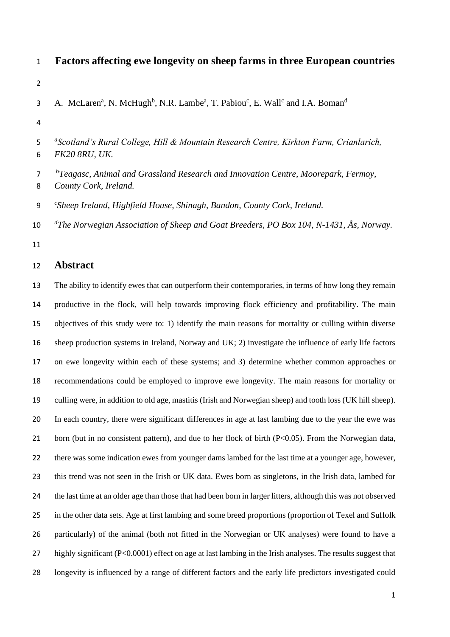- **Factors affecting ewe longevity on sheep farms in three European countries** A. McLaren<sup>a</sup>, N. McHugh<sup>b</sup>, N.R. Lambe<sup>a</sup>, T. Pabiou<sup>c</sup>, E. Wall<sup>c</sup> and I.A. Boman<sup>d</sup>
- 

*a*Scotland's Rural College, Hill & Mountain Research Centre, Kirkton Farm, Crianlarich, *FK20 8RU, UK.*

- *b Teagasc, Animal and Grassland Research and Innovation Centre, Moorepark, Fermoy, County Cork, Ireland.*
- *c Sheep Ireland, Highfield House, Shinagh, Bandon, County Cork, Ireland.*
- *d The Norwegian Association of Sheep and Goat Breeders, PO Box 104, N-1431, Ås, Norway.*
- 

#### **Abstract**

13 The ability to identify ewes that can outperform their contemporaries, in terms of how long they remain productive in the flock, will help towards improving flock efficiency and profitability. The main objectives of this study were to: 1) identify the main reasons for mortality or culling within diverse sheep production systems in Ireland, Norway and UK; 2) investigate the influence of early life factors on ewe longevity within each of these systems; and 3) determine whether common approaches or recommendations could be employed to improve ewe longevity. The main reasons for mortality or culling were, in addition to old age, mastitis (Irish and Norwegian sheep) and tooth loss (UK hill sheep). In each country, there were significant differences in age at last lambing due to the year the ewe was 21 born (but in no consistent pattern), and due to her flock of birth (P<0.05). From the Norwegian data, there was some indication ewes from younger dams lambed for the last time at a younger age, however, this trend was not seen in the Irish or UK data. Ewes born as singletons, in the Irish data, lambed for the last time at an older age than those that had been born in larger litters, although this was not observed in the other data sets. Age at first lambing and some breed proportions (proportion of Texel and Suffolk particularly) of the animal (both not fitted in the Norwegian or UK analyses) were found to have a highly significant (P<0.0001) effect on age at last lambing in the Irish analyses. The results suggest that longevity is influenced by a range of different factors and the early life predictors investigated could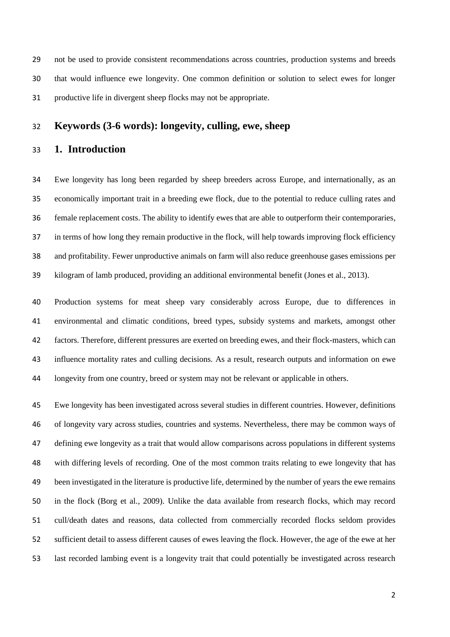not be used to provide consistent recommendations across countries, production systems and breeds that would influence ewe longevity. One common definition or solution to select ewes for longer productive life in divergent sheep flocks may not be appropriate.

## **Keywords (3-6 words): longevity, culling, ewe, sheep**

## **1. Introduction**

 Ewe longevity has long been regarded by sheep breeders across Europe, and internationally, as an economically important trait in a breeding ewe flock, due to the potential to reduce culling rates and female replacement costs. The ability to identify ewes that are able to outperform their contemporaries, in terms of how long they remain productive in the flock, will help towards improving flock efficiency and profitability. Fewer unproductive animals on farm will also reduce greenhouse gases emissions per kilogram of lamb produced, providing an additional environmental benefit (Jones et al., 2013).

 Production systems for meat sheep vary considerably across Europe, due to differences in environmental and climatic conditions, breed types, subsidy systems and markets, amongst other factors. Therefore, different pressures are exerted on breeding ewes, and their flock-masters, which can influence mortality rates and culling decisions. As a result, research outputs and information on ewe longevity from one country, breed or system may not be relevant or applicable in others.

 Ewe longevity has been investigated across several studies in different countries. However, definitions of longevity vary across studies, countries and systems. Nevertheless, there may be common ways of defining ewe longevity as a trait that would allow comparisons across populations in different systems with differing levels of recording. One of the most common traits relating to ewe longevity that has been investigated in the literature is productive life, determined by the number of years the ewe remains in the flock (Borg et al.*,* 2009). Unlike the data available from research flocks, which may record cull/death dates and reasons, data collected from commercially recorded flocks seldom provides sufficient detail to assess different causes of ewes leaving the flock. However, the age of the ewe at her last recorded lambing event is a longevity trait that could potentially be investigated across research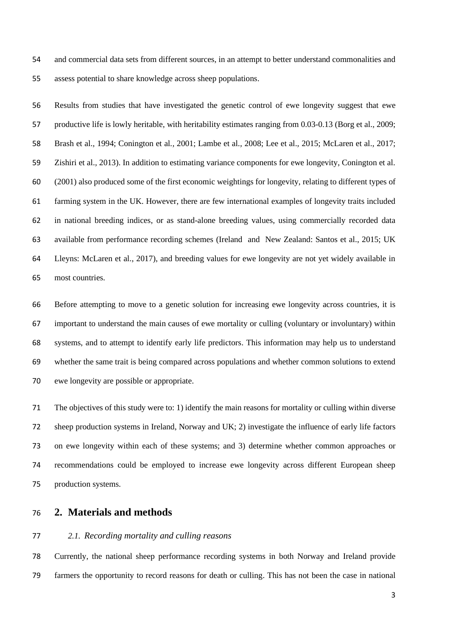and commercial data sets from different sources, in an attempt to better understand commonalities and assess potential to share knowledge across sheep populations.

 Results from studies that have investigated the genetic control of ewe longevity suggest that ewe productive life is lowly heritable, with heritability estimates ranging from 0.03-0.13 (Borg et al.*,* 2009; Brash et al.*,* 1994; Conington et al*.,* 2001; Lambe et al.*,* 2008; Lee et al.*,* 2015; McLaren et al.*,* 2017; Zishiri et al.*,* 2013). In addition to estimating variance components for ewe longevity, Conington et al. (2001) also produced some of the first economic weightings for longevity, relating to different types of farming system in the UK. However, there are few international examples of longevity traits included in national breeding indices, or as stand-alone breeding values, using commercially recorded data available from performance recording schemes (Ireland and New Zealand: Santos et al., 2015; UK Lleyns: McLaren et al., 2017), and breeding values for ewe longevity are not yet widely available in most countries.

 Before attempting to move to a genetic solution for increasing ewe longevity across countries, it is important to understand the main causes of ewe mortality or culling (voluntary or involuntary) within systems, and to attempt to identify early life predictors. This information may help us to understand whether the same trait is being compared across populations and whether common solutions to extend ewe longevity are possible or appropriate.

 The objectives of this study were to: 1) identify the main reasons for mortality or culling within diverse sheep production systems in Ireland, Norway and UK; 2) investigate the influence of early life factors on ewe longevity within each of these systems; and 3) determine whether common approaches or recommendations could be employed to increase ewe longevity across different European sheep production systems.

### **2. Materials and methods**

#### *2.1. Recording mortality and culling reasons*

 Currently, the national sheep performance recording systems in both Norway and Ireland provide farmers the opportunity to record reasons for death or culling. This has not been the case in national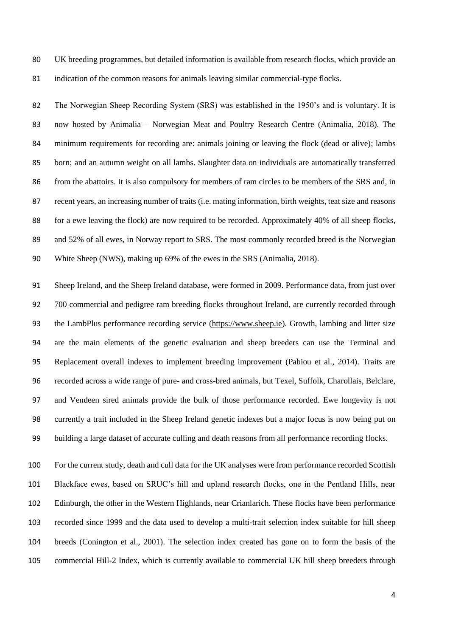UK breeding programmes, but detailed information is available from research flocks, which provide an indication of the common reasons for animals leaving similar commercial-type flocks.

 The Norwegian Sheep Recording System (SRS) was established in the 1950's and is voluntary. It is now hosted by Animalia – Norwegian Meat and Poultry Research Centre (Animalia, 2018). The minimum requirements for recording are: animals joining or leaving the flock (dead or alive); lambs born; and an autumn weight on all lambs. Slaughter data on individuals are automatically transferred from the abattoirs. It is also compulsory for members of ram circles to be members of the SRS and, in recent years, an increasing number of traits (i.e. mating information, birth weights, teat size and reasons for a ewe leaving the flock) are now required to be recorded. Approximately 40% of all sheep flocks, 89 and 52% of all ewes, in Norway report to SRS. The most commonly recorded breed is the Norwegian White Sheep (NWS), making up 69% of the ewes in the SRS (Animalia, 2018).

 Sheep Ireland, and the Sheep Ireland database, were formed in 2009. Performance data, from just over 700 commercial and pedigree ram breeding flocks throughout Ireland, are currently recorded through the LambPlus performance recording service [\(https://www.sheep.ie\)](https://www.sheep.ie/). Growth, lambing and litter size are the main elements of the genetic evaluation and sheep breeders can use the Terminal and Replacement overall indexes to implement breeding improvement (Pabiou et al.*,* 2014). Traits are recorded across a wide range of pure- and cross-bred animals, but Texel, Suffolk, Charollais, Belclare, and Vendeen sired animals provide the bulk of those performance recorded. Ewe longevity is not currently a trait included in the Sheep Ireland genetic indexes but a major focus is now being put on building a large dataset of accurate culling and death reasons from all performance recording flocks.

 For the current study, death and cull data for the UK analyses were from performance recorded Scottish Blackface ewes, based on SRUC's hill and upland research flocks, one in the Pentland Hills, near Edinburgh, the other in the Western Highlands, near Crianlarich. These flocks have been performance recorded since 1999 and the data used to develop a multi-trait selection index suitable for hill sheep breeds (Conington et al., 2001). The selection index created has gone on to form the basis of the commercial Hill-2 Index, which is currently available to commercial UK hill sheep breeders through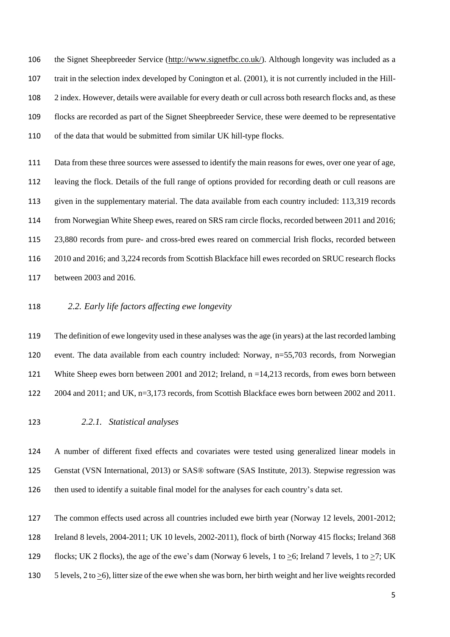the Signet Sheepbreeder Service [\(http://www.signetfbc.co.uk/\)](http://www.signetfbc.co.uk/). Although longevity was included as a trait in the selection index developed by Conington et al. (2001), it is not currently included in the Hill- 2 index. However, details were available for every death or cull across both research flocks and, as these flocks are recorded as part of the Signet Sheepbreeder Service, these were deemed to be representative of the data that would be submitted from similar UK hill-type flocks.

 Data from these three sources were assessed to identify the main reasons for ewes, over one year of age, leaving the flock. Details of the full range of options provided for recording death or cull reasons are given in the supplementary material. The data available from each country included: 113,319 records from Norwegian White Sheep ewes, reared on SRS ram circle flocks, recorded between 2011 and 2016; 23,880 records from pure- and cross-bred ewes reared on commercial Irish flocks, recorded between 2010 and 2016; and 3,224 records from Scottish Blackface hill ewes recorded on SRUC research flocks between 2003 and 2016.

#### *2.2. Early life factors affecting ewe longevity*

 The definition of ewe longevity used in these analyses was the age (in years) at the last recorded lambing event. The data available from each country included: Norway, n=55,703 records, from Norwegian White Sheep ewes born between 2001 and 2012; Ireland, n =14,213 records, from ewes born between 2004 and 2011; and UK, n=3,173 records, from Scottish Blackface ewes born between 2002 and 2011.

*2.2.1. Statistical analyses*

 A number of different fixed effects and covariates were tested using generalized linear models in Genstat (VSN International, 2013) or SAS® software (SAS Institute, 2013). Stepwise regression was then used to identify a suitable final model for the analyses for each country's data set.

 The common effects used across all countries included ewe birth year (Norway 12 levels, 2001-2012; Ireland 8 levels, 2004-2011; UK 10 levels, 2002-2011), flock of birth (Norway 415 flocks; Ireland 368 flocks; UK 2 flocks), the age of the ewe's dam (Norway 6 levels, 1 to >6; Ireland 7 levels, 1 to >7; UK 130 5 levels, 2 to >6), litter size of the ewe when she was born, her birth weight and her live weights recorded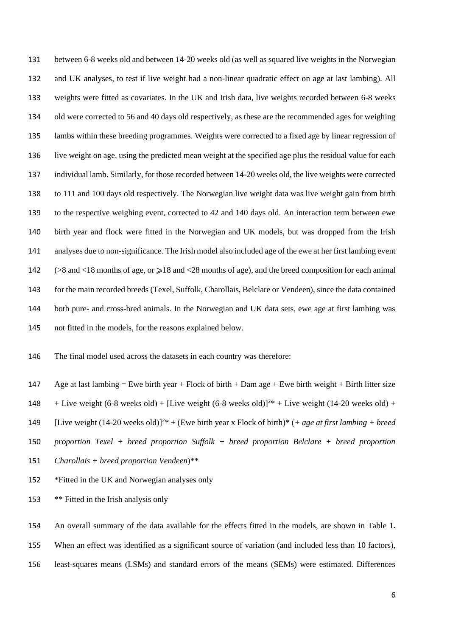between 6-8 weeks old and between 14-20 weeks old (as well as squared live weights in the Norwegian and UK analyses, to test if live weight had a non-linear quadratic effect on age at last lambing). All weights were fitted as covariates. In the UK and Irish data, live weights recorded between 6-8 weeks old were corrected to 56 and 40 days old respectively, as these are the recommended ages for weighing lambs within these breeding programmes. Weights were corrected to a fixed age by linear regression of live weight on age, using the predicted mean weight at the specified age plus the residual value for each individual lamb. Similarly, for those recorded between 14-20 weeks old, the live weights were corrected to 111 and 100 days old respectively. The Norwegian live weight data was live weight gain from birth to the respective weighing event, corrected to 42 and 140 days old. An interaction term between ewe birth year and flock were fitted in the Norwegian and UK models, but was dropped from the Irish analyses due to non-significance. The Irish model also included age of the ewe at her first lambing event  $(>8 \text{ and } < 18 \text{ months of age}, \text{ or } \geq 18 \text{ and } < 28 \text{ months of age}),$  and the breed composition for each animal for the main recorded breeds (Texel, Suffolk, Charollais, Belclare or Vendeen), since the data contained both pure- and cross-bred animals. In the Norwegian and UK data sets, ewe age at first lambing was not fitted in the models, for the reasons explained below.

The final model used across the datasets in each country was therefore:

- 147 Age at last lambing = Ewe birth year + Flock of birth + Dam age + Ewe birth weight + Birth litter size
- 148 + Live weight (6-8 weeks old) + [Live weight (6-8 weeks old)]<sup>2\*</sup> + Live weight (14-20 weeks old) +

149 [Live weight  $(14{\text -}20 \text{ weeks old})^2$ <sup>\*</sup> + (Ewe birth year x Flock of birth)<sup>\*</sup> (*+ age at first lambing + breed* 

- *proportion Texel + breed proportion Suffolk + breed proportion Belclare + breed proportion*
- *Charollais + breed proportion Vendeen*)\*\*
- \*Fitted in the UK and Norwegian analyses only
- \*\* Fitted in the Irish analysis only

An overall summary of the data available for the effects fitted in the models, are shown in Table 1**.** 

- When an effect was identified as a significant source of variation (and included less than 10 factors),
- least-squares means (LSMs) and standard errors of the means (SEMs) were estimated. Differences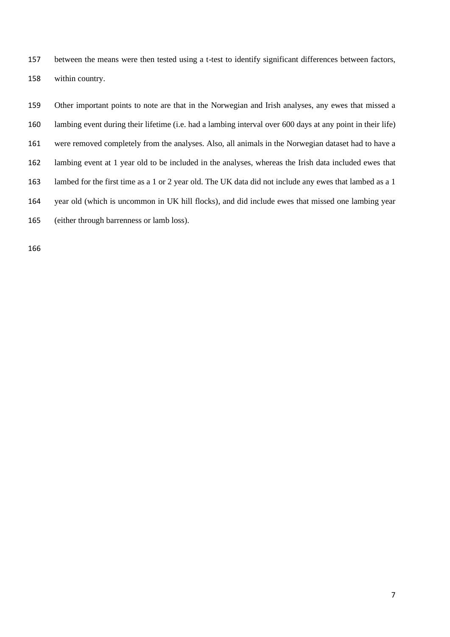between the means were then tested using a t-test to identify significant differences between factors, within country.

 Other important points to note are that in the Norwegian and Irish analyses, any ewes that missed a lambing event during their lifetime (i.e. had a lambing interval over 600 days at any point in their life) were removed completely from the analyses. Also, all animals in the Norwegian dataset had to have a lambing event at 1 year old to be included in the analyses, whereas the Irish data included ewes that lambed for the first time as a 1 or 2 year old. The UK data did not include any ewes that lambed as a 1 year old (which is uncommon in UK hill flocks), and did include ewes that missed one lambing year (either through barrenness or lamb loss).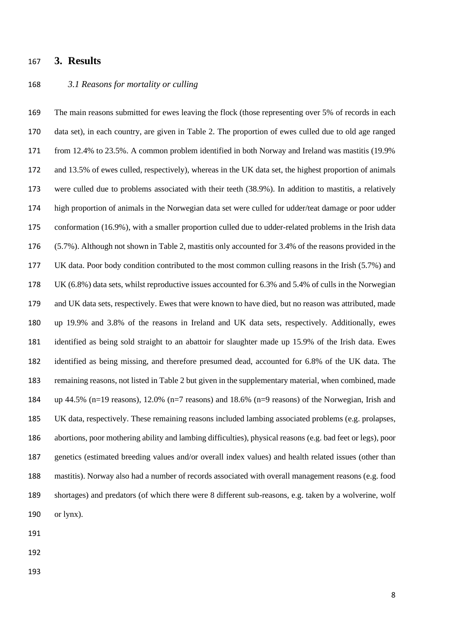#### **3. Results**

#### *3.1 Reasons for mortality or culling*

 The main reasons submitted for ewes leaving the flock (those representing over 5% of records in each data set), in each country, are given in Table 2. The proportion of ewes culled due to old age ranged from 12.4% to 23.5%. A common problem identified in both Norway and Ireland was mastitis (19.9% and 13.5% of ewes culled, respectively), whereas in the UK data set, the highest proportion of animals were culled due to problems associated with their teeth (38.9%). In addition to mastitis, a relatively high proportion of animals in the Norwegian data set were culled for udder/teat damage or poor udder conformation (16.9%), with a smaller proportion culled due to udder-related problems in the Irish data (5.7%). Although not shown in Table 2, mastitis only accounted for 3.4% of the reasons provided in the UK data. Poor body condition contributed to the most common culling reasons in the Irish (5.7%) and UK (6.8%) data sets, whilst reproductive issues accounted for 6.3% and 5.4% of culls in the Norwegian and UK data sets, respectively. Ewes that were known to have died, but no reason was attributed, made up 19.9% and 3.8% of the reasons in Ireland and UK data sets, respectively. Additionally, ewes identified as being sold straight to an abattoir for slaughter made up 15.9% of the Irish data. Ewes identified as being missing, and therefore presumed dead, accounted for 6.8% of the UK data. The remaining reasons, not listed in Table 2 but given in the supplementary material, when combined, made up 44.5% (n=19 reasons), 12.0% (n=7 reasons) and 18.6% (n=9 reasons) of the Norwegian, Irish and UK data, respectively. These remaining reasons included lambing associated problems (e.g. prolapses, abortions, poor mothering ability and lambing difficulties), physical reasons (e.g. bad feet or legs), poor genetics (estimated breeding values and/or overall index values) and health related issues (other than mastitis). Norway also had a number of records associated with overall management reasons (e.g. food shortages) and predators (of which there were 8 different sub-reasons, e.g. taken by a wolverine, wolf or lynx).

- 
- 
-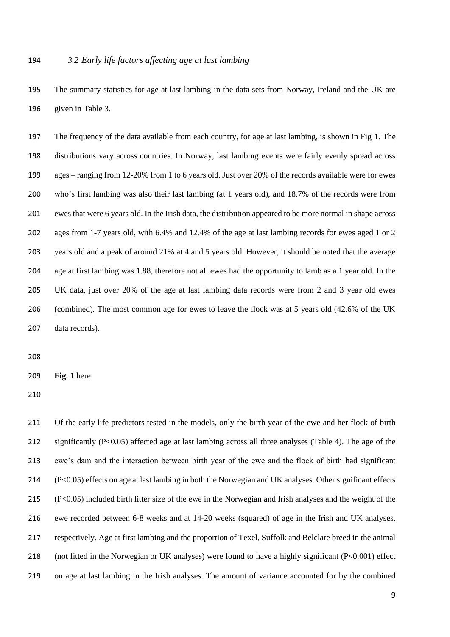The summary statistics for age at last lambing in the data sets from Norway, Ireland and the UK are given in Table 3.

 The frequency of the data available from each country, for age at last lambing, is shown in Fig 1. The distributions vary across countries. In Norway, last lambing events were fairly evenly spread across ages – ranging from 12-20% from 1 to 6 years old. Just over 20% of the records available were for ewes who's first lambing was also their last lambing (at 1 years old), and 18.7% of the records were from ewes that were 6 years old. In the Irish data, the distribution appeared to be more normal in shape across ages from 1-7 years old, with 6.4% and 12.4% of the age at last lambing records for ewes aged 1 or 2 years old and a peak of around 21% at 4 and 5 years old. However, it should be noted that the average age at first lambing was 1.88, therefore not all ewes had the opportunity to lamb as a 1 year old. In the UK data, just over 20% of the age at last lambing data records were from 2 and 3 year old ewes (combined). The most common age for ewes to leave the flock was at 5 years old (42.6% of the UK data records).

#### **Fig. 1** here

 Of the early life predictors tested in the models, only the birth year of the ewe and her flock of birth significantly (P<0.05) affected age at last lambing across all three analyses (Table 4). The age of the ewe's dam and the interaction between birth year of the ewe and the flock of birth had significant (P<0.05) effects on age at last lambing in both the Norwegian and UK analyses. Other significant effects (P<0.05) included birth litter size of the ewe in the Norwegian and Irish analyses and the weight of the ewe recorded between 6-8 weeks and at 14-20 weeks (squared) of age in the Irish and UK analyses, respectively. Age at first lambing and the proportion of Texel, Suffolk and Belclare breed in the animal (not fitted in the Norwegian or UK analyses) were found to have a highly significant (P<0.001) effect on age at last lambing in the Irish analyses. The amount of variance accounted for by the combined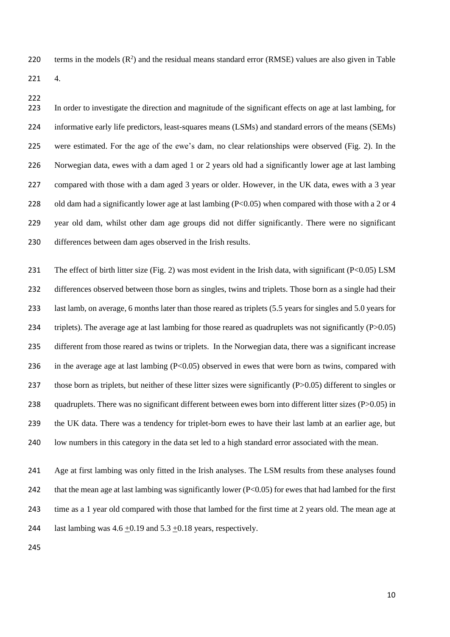220 terms in the models  $(R^2)$  and the residual means standard error (RMSE) values are also given in Table 4.

 In order to investigate the direction and magnitude of the significant effects on age at last lambing, for informative early life predictors, least-squares means (LSMs) and standard errors of the means (SEMs) were estimated. For the age of the ewe's dam, no clear relationships were observed (Fig. 2). In the Norwegian data, ewes with a dam aged 1 or 2 years old had a significantly lower age at last lambing compared with those with a dam aged 3 years or older. However, in the UK data, ewes with a 3 year 228 old dam had a significantly lower age at last lambing (P<0.05) when compared with those with a 2 or 4 year old dam, whilst other dam age groups did not differ significantly. There were no significant differences between dam ages observed in the Irish results.

231 The effect of birth litter size (Fig. 2) was most evident in the Irish data, with significant (P<0.05) LSM differences observed between those born as singles, twins and triplets. Those born as a single had their last lamb, on average, 6 months later than those reared as triplets (5.5 years for singles and 5.0 years for 234 triplets). The average age at last lambing for those reared as quadruplets was not significantly (P>0.05) different from those reared as twins or triplets. In the Norwegian data, there was a significant increase in the average age at last lambing (P<0.05) observed in ewes that were born as twins, compared with 237 those born as triplets, but neither of these litter sizes were significantly (P>0.05) different to singles or 238 quadruplets. There was no significant different between ewes born into different litter sizes (P>0.05) in the UK data. There was a tendency for triplet-born ewes to have their last lamb at an earlier age, but low numbers in this category in the data set led to a high standard error associated with the mean.

 Age at first lambing was only fitted in the Irish analyses. The LSM results from these analyses found that the mean age at last lambing was significantly lower (P<0.05) for ewes that had lambed for the first time as a 1 year old compared with those that lambed for the first time at 2 years old. The mean age at 244 last lambing was  $4.6 + 0.19$  and  $5.3 + 0.18$  years, respectively.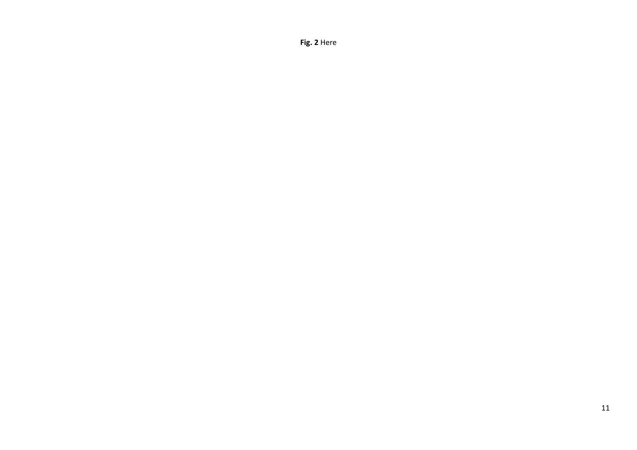**Fig. 2** Here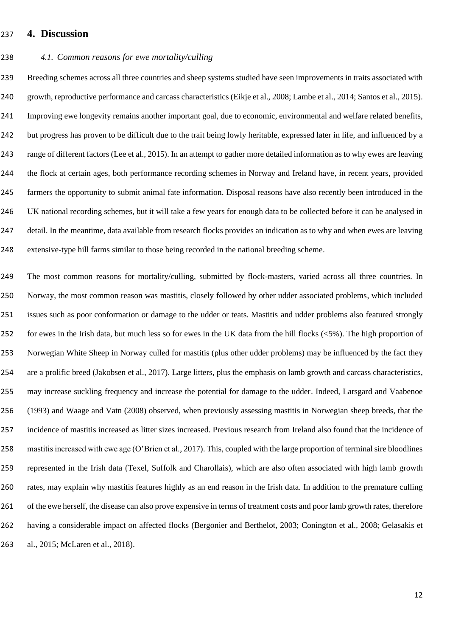# **4. Discussion**

## *4.1. Common reasons for ewe mortality/culling*

 Breeding schemes across all three countries and sheep systems studied have seen improvements in traits associated with growth, reproductive performance and carcass characteristics (Eikje et al.*,* 2008; Lambe et al.*,* 2014; Santos et al.*,* 2015). Improving ewe longevity remains another important goal, due to economic, environmental and welfare related benefits, but progress has proven to be difficult due to the trait being lowly heritable, expressed later in life, and influenced by a range of different factors (Lee et al.*,* 2015). In an attempt to gather more detailed information as to why ewes are leaving the flock at certain ages, both performance recording schemes in Norway and Ireland have, in recent years, provided farmers the opportunity to submit animal fate information. Disposal reasons have also recently been introduced in the UK national recording schemes, but it will take a few years for enough data to be collected before it can be analysed in detail. In the meantime, data available from research flocks provides an indication as to why and when ewes are leaving extensive-type hill farms similar to those being recorded in the national breeding scheme.

 The most common reasons for mortality/culling, submitted by flock-masters, varied across all three countries. In Norway, the most common reason was mastitis, closely followed by other udder associated problems, which included issues such as poor conformation or damage to the udder or teats. Mastitis and udder problems also featured strongly 252 for ewes in the Irish data, but much less so for ewes in the UK data from the hill flocks  $(\leq 5\%)$ . The high proportion of Norwegian White Sheep in Norway culled for mastitis (plus other udder problems) may be influenced by the fact they are a prolific breed (Jakobsen et al.*,* 2017). Large litters, plus the emphasis on lamb growth and carcass characteristics, may increase suckling frequency and increase the potential for damage to the udder. Indeed, Larsgard and Vaabenoe (1993) and Waage and Vatn (2008) observed, when previously assessing mastitis in Norwegian sheep breeds, that the incidence of mastitis increased as litter sizes increased. Previous research from Ireland also found that the incidence of mastitis increased with ewe age (O'Brien et al.*,* 2017). This, coupled with the large proportion of terminal sire bloodlines represented in the Irish data (Texel, Suffolk and Charollais), which are also often associated with high lamb growth rates, may explain why mastitis features highly as an end reason in the Irish data. In addition to the premature culling of the ewe herself, the disease can also prove expensive in terms of treatment costs and poor lamb growth rates, therefore having a considerable impact on affected flocks (Bergonier and Berthelot, 2003; Conington et al.*,* 2008; Gelasakis et al.*,* 2015; McLaren et al.*,* 2018).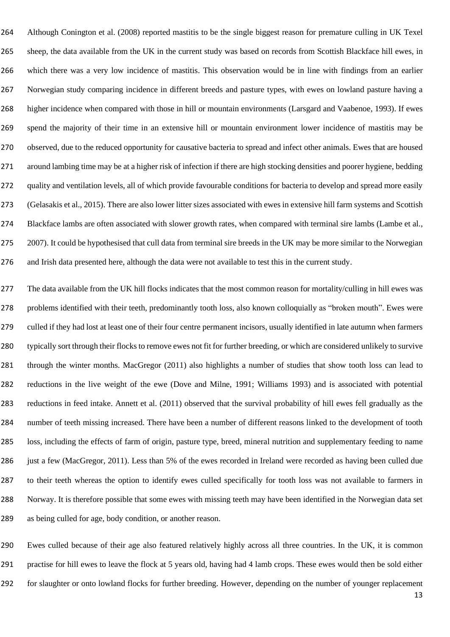Although Conington et al. (2008) reported mastitis to be the single biggest reason for premature culling in UK Texel sheep, the data available from the UK in the current study was based on records from Scottish Blackface hill ewes, in which there was a very low incidence of mastitis. This observation would be in line with findings from an earlier Norwegian study comparing incidence in different breeds and pasture types, with ewes on lowland pasture having a higher incidence when compared with those in hill or mountain environments (Larsgard and Vaabenoe, 1993). If ewes spend the majority of their time in an extensive hill or mountain environment lower incidence of mastitis may be observed, due to the reduced opportunity for causative bacteria to spread and infect other animals. Ewes that are housed around lambing time may be at a higher risk of infection if there are high stocking densities and poorer hygiene, bedding quality and ventilation levels, all of which provide favourable conditions for bacteria to develop and spread more easily (Gelasakis et al.*,* 2015). There are also lower litter sizes associated with ewes in extensive hill farm systems and Scottish Blackface lambs are often associated with slower growth rates, when compared with terminal sire lambs (Lambe et al.*,* 2007). It could be hypothesised that cull data from terminal sire breeds in the UK may be more similar to the Norwegian 276 and Irish data presented here, although the data were not available to test this in the current study.

 The data available from the UK hill flocks indicates that the most common reason for mortality/culling in hill ewes was problems identified with their teeth, predominantly tooth loss, also known colloquially as "broken mouth". Ewes were culled if they had lost at least one of their four centre permanent incisors, usually identified in late autumn when farmers typically sort through their flocksto remove ewes not fit for further breeding, or which are considered unlikely to survive through the winter months. MacGregor (2011) also highlights a number of studies that show tooth loss can lead to reductions in the live weight of the ewe (Dove and Milne, 1991; Williams 1993) and is associated with potential reductions in feed intake. Annett et al. (2011) observed that the survival probability of hill ewes fell gradually as the number of teeth missing increased. There have been a number of different reasons linked to the development of tooth loss, including the effects of farm of origin, pasture type, breed, mineral nutrition and supplementary feeding to name 286 just a few (MacGregor, 2011). Less than 5% of the ewes recorded in Ireland were recorded as having been culled due to their teeth whereas the option to identify ewes culled specifically for tooth loss was not available to farmers in Norway. It is therefore possible that some ewes with missing teeth may have been identified in the Norwegian data set as being culled for age, body condition, or another reason.

 Ewes culled because of their age also featured relatively highly across all three countries. In the UK, it is common practise for hill ewes to leave the flock at 5 years old, having had 4 lamb crops. These ewes would then be sold either for slaughter or onto lowland flocks for further breeding. However, depending on the number of younger replacement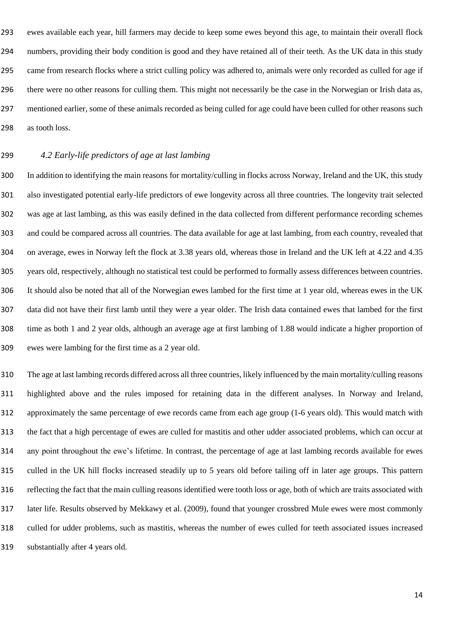ewes available each year, hill farmers may decide to keep some ewes beyond this age, to maintain their overall flock numbers, providing their body condition is good and they have retained all of their teeth. As the UK data in this study came from research flocks where a strict culling policy was adhered to, animals were only recorded as culled for age if there were no other reasons for culling them. This might not necessarily be the case in the Norwegian or Irish data as, mentioned earlier, some of these animals recorded as being culled for age could have been culled for other reasons such as tooth loss.

## *4.2 Early-life predictors of age at last lambing*

 In addition to identifying the main reasons for mortality/culling in flocks across Norway, Ireland and the UK, this study also investigated potential early-life predictors of ewe longevity across all three countries. The longevity trait selected was age at last lambing, as this was easily defined in the data collected from different performance recording schemes and could be compared across all countries. The data available for age at last lambing, from each country, revealed that on average, ewes in Norway left the flock at 3.38 years old, whereas those in Ireland and the UK left at 4.22 and 4.35 years old, respectively, although no statistical test could be performed to formally assess differences between countries. It should also be noted that all of the Norwegian ewes lambed for the first time at 1 year old, whereas ewes in the UK data did not have their first lamb until they were a year older. The Irish data contained ewes that lambed for the first time as both 1 and 2 year olds, although an average age at first lambing of 1.88 would indicate a higher proportion of ewes were lambing for the first time as a 2 year old.

 The age at last lambing records differed across all three countries, likely influenced by the main mortality/culling reasons highlighted above and the rules imposed for retaining data in the different analyses. In Norway and Ireland, approximately the same percentage of ewe records came from each age group (1-6 years old). This would match with the fact that a high percentage of ewes are culled for mastitis and other udder associated problems, which can occur at any point throughout the ewe's lifetime. In contrast, the percentage of age at last lambing records available for ewes culled in the UK hill flocks increased steadily up to 5 years old before tailing off in later age groups. This pattern reflecting the fact that the main culling reasons identified were tooth loss or age, both of which are traits associated with later life. Results observed by Mekkawy et al. (2009), found that younger crossbred Mule ewes were most commonly culled for udder problems, such as mastitis, whereas the number of ewes culled for teeth associated issues increased substantially after 4 years old.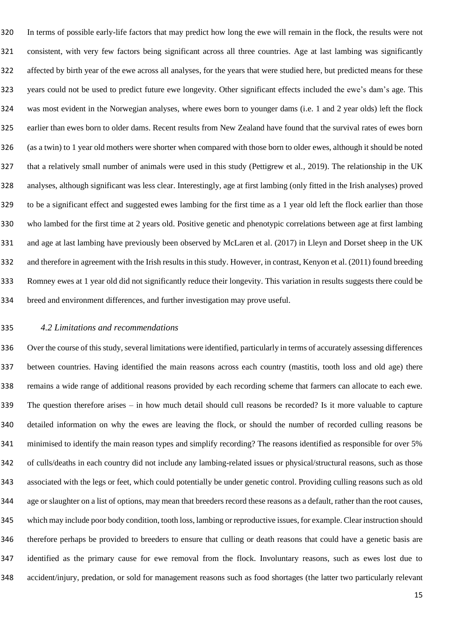In terms of possible early-life factors that may predict how long the ewe will remain in the flock, the results were not consistent, with very few factors being significant across all three countries. Age at last lambing was significantly affected by birth year of the ewe across all analyses, for the years that were studied here, but predicted means for these years could not be used to predict future ewe longevity. Other significant effects included the ewe's dam's age. This was most evident in the Norwegian analyses, where ewes born to younger dams (i.e. 1 and 2 year olds) left the flock earlier than ewes born to older dams. Recent results from New Zealand have found that the survival rates of ewes born (as a twin) to 1 year old mothers were shorter when compared with those born to older ewes, although it should be noted that a relatively small number of animals were used in this study (Pettigrew et al.*,* 2019). The relationship in the UK analyses, although significant was less clear. Interestingly, age at first lambing (only fitted in the Irish analyses) proved to be a significant effect and suggested ewes lambing for the first time as a 1 year old left the flock earlier than those who lambed for the first time at 2 years old. Positive genetic and phenotypic correlations between age at first lambing 331 and age at last lambing have previously been observed by McLaren et al. (2017) in Lleyn and Dorset sheep in the UK and therefore in agreement with the Irish results in this study. However, in contrast, Kenyon et al. (2011) found breeding Romney ewes at 1 year old did not significantly reduce their longevity. This variation in results suggests there could be breed and environment differences, and further investigation may prove useful.

#### *4.2 Limitations and recommendations*

 Over the course of this study, several limitations were identified, particularly in terms of accurately assessing differences between countries. Having identified the main reasons across each country (mastitis, tooth loss and old age) there remains a wide range of additional reasons provided by each recording scheme that farmers can allocate to each ewe. The question therefore arises – in how much detail should cull reasons be recorded? Is it more valuable to capture detailed information on why the ewes are leaving the flock, or should the number of recorded culling reasons be minimised to identify the main reason types and simplify recording? The reasons identified as responsible for over 5% of culls/deaths in each country did not include any lambing-related issues or physical/structural reasons, such as those associated with the legs or feet, which could potentially be under genetic control. Providing culling reasons such as old age or slaughter on a list of options, may mean that breeders record these reasons as a default, rather than the root causes, which may include poor body condition, tooth loss, lambing or reproductive issues, for example. Clear instruction should therefore perhaps be provided to breeders to ensure that culling or death reasons that could have a genetic basis are identified as the primary cause for ewe removal from the flock. Involuntary reasons, such as ewes lost due to accident/injury, predation, or sold for management reasons such as food shortages (the latter two particularly relevant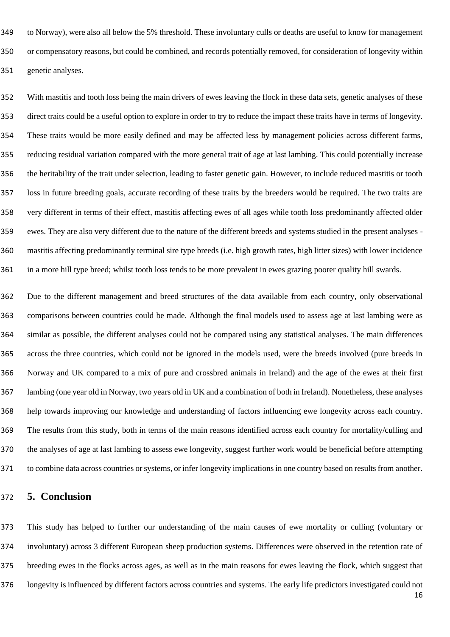to Norway), were also all below the 5% threshold. These involuntary culls or deaths are useful to know for management or compensatory reasons, but could be combined, and records potentially removed, for consideration of longevity within genetic analyses.

 With mastitis and tooth loss being the main drivers of ewes leaving the flock in these data sets, genetic analyses of these direct traits could be a useful option to explore in order to try to reduce the impact these traits have in terms of longevity. These traits would be more easily defined and may be affected less by management policies across different farms, reducing residual variation compared with the more general trait of age at last lambing. This could potentially increase the heritability of the trait under selection, leading to faster genetic gain. However, to include reduced mastitis or tooth loss in future breeding goals, accurate recording of these traits by the breeders would be required. The two traits are very different in terms of their effect, mastitis affecting ewes of all ages while tooth loss predominantly affected older ewes. They are also very different due to the nature of the different breeds and systems studied in the present analyses - mastitis affecting predominantly terminal sire type breeds (i.e. high growth rates, high litter sizes) with lower incidence in a more hill type breed; whilst tooth loss tends to be more prevalent in ewes grazing poorer quality hill swards.

 Due to the different management and breed structures of the data available from each country, only observational comparisons between countries could be made. Although the final models used to assess age at last lambing were as similar as possible, the different analyses could not be compared using any statistical analyses. The main differences across the three countries, which could not be ignored in the models used, were the breeds involved (pure breeds in Norway and UK compared to a mix of pure and crossbred animals in Ireland) and the age of the ewes at their first lambing (one year old in Norway, two years old in UK and a combination of both in Ireland). Nonetheless, these analyses help towards improving our knowledge and understanding of factors influencing ewe longevity across each country. The results from this study, both in terms of the main reasons identified across each country for mortality/culling and the analyses of age at last lambing to assess ewe longevity, suggest further work would be beneficial before attempting to combine data across countries or systems, or infer longevity implications in one country based on results from another.

## **5. Conclusion**

 This study has helped to further our understanding of the main causes of ewe mortality or culling (voluntary or involuntary) across 3 different European sheep production systems. Differences were observed in the retention rate of breeding ewes in the flocks across ages, as well as in the main reasons for ewes leaving the flock, which suggest that longevity is influenced by different factors across countries and systems. The early life predictors investigated could not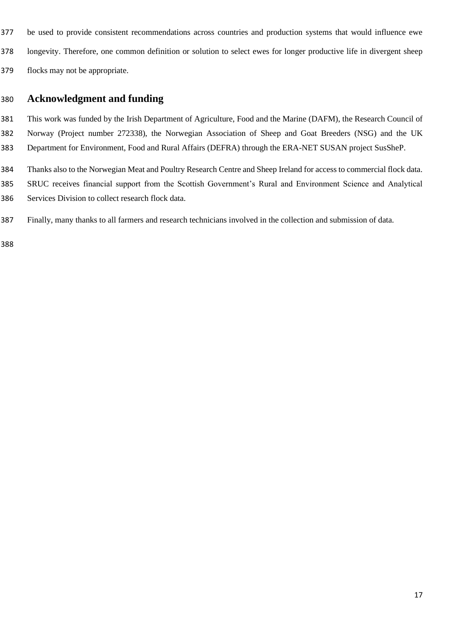- be used to provide consistent recommendations across countries and production systems that would influence ewe
- longevity. Therefore, one common definition or solution to select ewes for longer productive life in divergent sheep
- flocks may not be appropriate.

# **Acknowledgment and funding**

 This work was funded by the Irish Department of Agriculture, Food and the Marine (DAFM), the Research Council of Norway (Project number 272338), the Norwegian Association of Sheep and Goat Breeders (NSG) and the UK Department for Environment, Food and Rural Affairs (DEFRA) through the ERA-NET SUSAN project SusSheP.

 Thanks also to the Norwegian Meat and Poultry Research Centre and Sheep Ireland for access to commercial flock data. SRUC receives financial support from the Scottish Government's Rural and Environment Science and Analytical Services Division to collect research flock data.

Finally, many thanks to all farmers and research technicians involved in the collection and submission of data.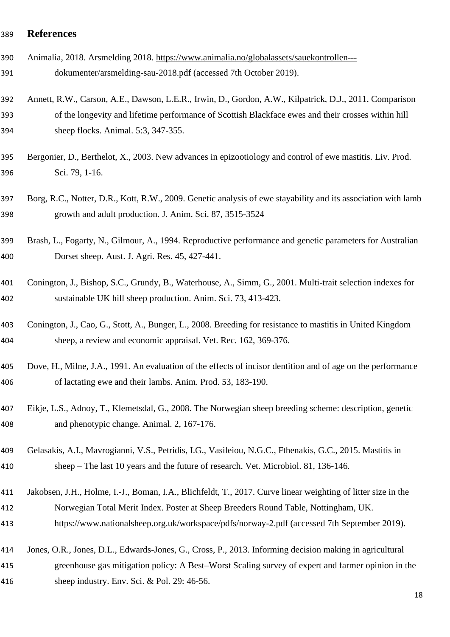| 390 | Animalia, 2018. Arsmelding 2018. https://www.animalia.no/globalassets/sauekontrollen--- |
|-----|-----------------------------------------------------------------------------------------|
| 391 | dokumenter/arsmelding-sau-2018.pdf (accessed 7th October 2019).                         |

 Annett, R.W., Carson, A.E., Dawson, L.E.R., Irwin, D., Gordon, A.W., Kilpatrick, D.J., 2011. Comparison of the longevity and lifetime performance of Scottish Blackface ewes and their crosses within hill sheep flocks. Animal. 5:3, 347-355.

 Bergonier, D., Berthelot, X., 2003. New advances in epizootiology and control of ewe mastitis. Liv. Prod. Sci. 79, 1-16.

 Borg, R.C., Notter, D.R., Kott, R.W., 2009. Genetic analysis of ewe stayability and its association with lamb growth and adult production. J. Anim. Sci. 87, 3515-3524

 Brash, L., Fogarty, N., Gilmour, A., 1994. Reproductive performance and genetic parameters for Australian Dorset sheep. Aust. J. Agri. Res. 45, 427-441.

 Conington, J., Bishop, S.C., Grundy, B., Waterhouse, A., Simm, G., 2001. Multi-trait selection indexes for sustainable UK hill sheep production. Anim. Sci. 73, 413-423.

 Conington, J., Cao, G., Stott, A., Bunger, L., 2008. Breeding for resistance to mastitis in United Kingdom sheep, a review and economic appraisal. Vet. Rec. 162, 369-376.

 Dove, H., Milne, J.A., 1991. An evaluation of the effects of incisor dentition and of age on the performance of lactating ewe and their lambs. Anim. Prod. 53, 183-190.

 Eikje, L.S., Adnoy, T., Klemetsdal, G., 2008. The Norwegian sheep breeding scheme: description, genetic and phenotypic change. Animal. 2, 167-176.

 Gelasakis, A.I., Mavrogianni, V.S., Petridis, I.G., Vasileiou, N.G.C., Fthenakis, G.C., 2015. Mastitis in sheep – The last 10 years and the future of research. Vet. Microbiol. 81, 136-146.

 Jakobsen, J.H., Holme, I.-J., Boman, I.A., Blichfeldt, T., 2017. Curve linear weighting of litter size in the Norwegian Total Merit Index. Poster at Sheep Breeders Round Table, Nottingham, UK.

https://www.nationalsheep.org.uk/workspace/pdfs/norway-2.pdf (accessed 7th September 2019).

 Jones, O.R., Jones, D.L., Edwards-Jones, G., Cross, P., 2013. Informing decision making in agricultural greenhouse gas mitigation policy: A Best–Worst Scaling survey of expert and farmer opinion in the sheep industry. Env. Sci. & Pol. 29: 46-56.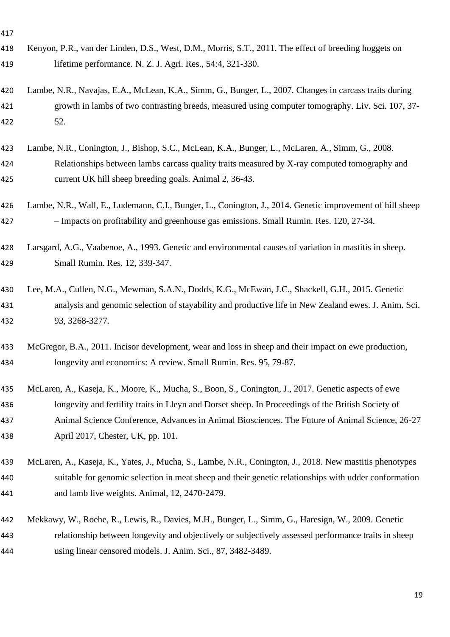| 418 | Kenyon, P.R., van der Linden, D.S., West, D.M., Morris, S.T., 2011. The effect of breeding hoggets on  |
|-----|--------------------------------------------------------------------------------------------------------|
| 419 | lifetime performance. N. Z. J. Agri. Res., 54:4, 321-330.                                              |
| 420 | Lambe, N.R., Navajas, E.A., McLean, K.A., Simm, G., Bunger, L., 2007. Changes in carcass traits during |

- growth in lambs of two contrasting breeds, measured using computer tomography. Liv. Sci. 107, 37- 52.
- Lambe, N.R., Conington, J., Bishop, S.C., McLean, K.A., Bunger, L., McLaren, A., Simm, G., 2008. Relationships between lambs carcass quality traits measured by X-ray computed tomography and current UK hill sheep breeding goals. Animal 2, 36-43.
- Lambe, N.R., Wall, E., Ludemann, C.I., Bunger, L., Conington, J., 2014. Genetic improvement of hill sheep – Impacts on profitability and greenhouse gas emissions. Small Rumin. Res. 120, 27-34.
- Larsgard, A.G., Vaabenoe, A., 1993. Genetic and environmental causes of variation in mastitis in sheep. Small Rumin. Res. 12, 339-347.
- Lee, M.A., Cullen, N.G., Mewman, S.A.N., Dodds, K.G., McEwan, J.C., Shackell, G.H., 2015. Genetic analysis and genomic selection of stayability and productive life in New Zealand ewes. J. Anim. Sci. 93, 3268-3277.
- McGregor, B.A., 2011. Incisor development, wear and loss in sheep and their impact on ewe production, longevity and economics: A review. Small Rumin. Res. 95, 79-87.
- McLaren, A., Kaseja, K., Moore, K., Mucha, S., Boon, S., Conington, J., 2017. Genetic aspects of ewe longevity and fertility traits in Lleyn and Dorset sheep. In Proceedings of the British Society of Animal Science Conference, Advances in Animal Biosciences. The Future of Animal Science, 26-27 April 2017, Chester, UK, pp. 101.
- McLaren, A., Kaseja, K., Yates, J., Mucha, S., Lambe, N.R., Conington, J., 2018. New mastitis phenotypes suitable for genomic selection in meat sheep and their genetic relationships with udder conformation and lamb live weights. Animal, 12, 2470-2479.
- Mekkawy, W., Roehe, R., Lewis, R., Davies, M.H., Bunger, L., Simm, G., Haresign, W., 2009. Genetic relationship between longevity and objectively or subjectively assessed performance traits in sheep using linear censored models. J. Anim. Sci., 87, 3482-3489.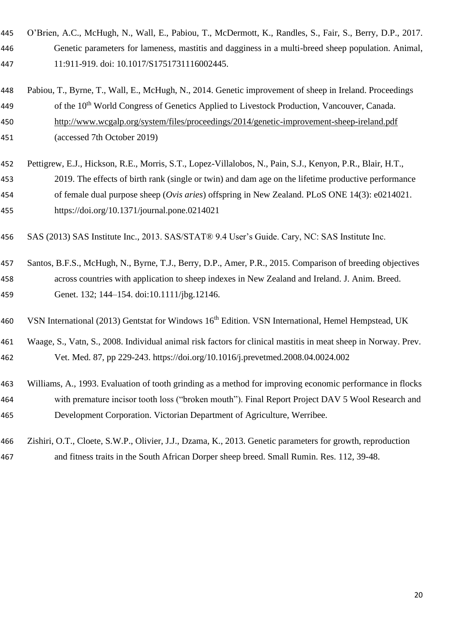- O'Brien, A.C., McHugh, N., Wall, E., Pabiou, T., McDermott, K., Randles, S., Fair, S., Berry, D.P., 2017. Genetic parameters for lameness, mastitis and dagginess in a multi-breed sheep population. Animal, 11:911-919. doi: 10.1017/S1751731116002445.
- Pabiou, T., Byrne, T., Wall, E., McHugh, N., 2014. Genetic improvement of sheep in Ireland. Proceedings 449 of the 10<sup>th</sup> World Congress of Genetics Applied to Livestock Production, Vancouver, Canada. <http://www.wcgalp.org/system/files/proceedings/2014/genetic-improvement-sheep-ireland.pdf> (accessed 7th October 2019)
- Pettigrew, E.J., Hickson, R.E., Morris, S.T., Lopez-Villalobos, N., Pain, S.J., Kenyon, P.R., Blair, H.T., 2019. The effects of birth rank (single or twin) and dam age on the lifetime productive performance of female dual purpose sheep (*Ovis aries*) offspring in New Zealand. PLoS ONE 14(3): e0214021. https://doi.org/10.1371/journal.pone.0214021
- SAS (2013) SAS Institute Inc., 2013. SAS/STAT® 9.4 User's Guide. Cary, NC: SAS Institute Inc.
- Santos, B.F.S., McHugh, N., Byrne, T.J., Berry, D.P., Amer, P.R., 2015. Comparison of breeding objectives across countries with application to sheep indexes in New Zealand and Ireland. J. Anim. Breed. Genet. 132; 144–154. doi:10.1111/jbg.12146.
- 460 VSN International (2013) Gentstat for Windows 16<sup>th</sup> Edition. VSN International, Hemel Hempstead, UK
- Waage, S., Vatn, S., 2008. Individual animal risk factors for clinical mastitis in meat sheep in Norway. Prev. Vet. Med. 87, pp 229-243. https://doi.org/10.1016/j.prevetmed.2008.04.0024.002
- Williams, A., 1993. Evaluation of tooth grinding as a method for improving economic performance in flocks with premature incisor tooth loss ("broken mouth"). Final Report Project DAV 5 Wool Research and Development Corporation. Victorian Department of Agriculture, Werribee.
- Zishiri, O.T., Cloete, S.W.P., Olivier, J.J., Dzama, K., 2013. Genetic parameters for growth, reproduction and fitness traits in the South African Dorper sheep breed. Small Rumin. Res. 112, 39-48.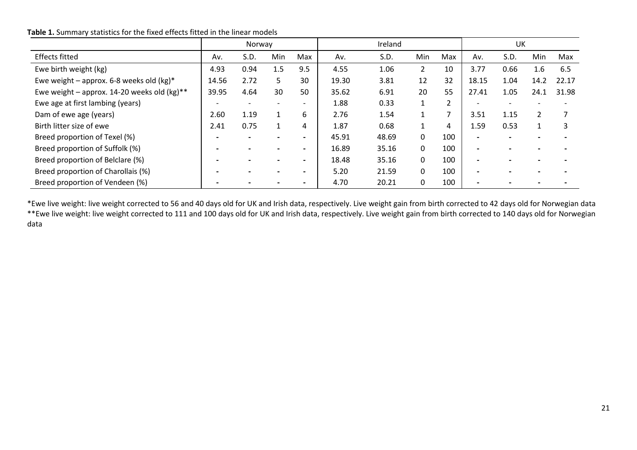#### **Table 1.** Summary statistics for the fixed effects fitted in the linear models

|                                                |       | Norway |     |                          |       | Ireland |              |     |       | UK   |      |       |
|------------------------------------------------|-------|--------|-----|--------------------------|-------|---------|--------------|-----|-------|------|------|-------|
| <b>Effects fitted</b>                          | Av.   | S.D.   | Min | Max                      | Av.   | S.D.    | Min          | Max | Av.   | S.D. | Min  | Max   |
| Ewe birth weight (kg)                          | 4.93  | 0.94   | 1.5 | 9.5                      | 4.55  | 1.06    | 2            | 10  | 3.77  | 0.66 | 1.6  | 6.5   |
| Ewe weight - approx. 6-8 weeks old $(kg)^*$    | 14.56 | 2.72   | 5   | 30                       | 19.30 | 3.81    | 12           | 32  | 18.15 | 1.04 | 14.2 | 22.17 |
| Ewe weight - approx. 14-20 weeks old $(kg)$ ** | 39.95 | 4.64   | 30  | 50                       | 35.62 | 6.91    | 20           | 55  | 27.41 | 1.05 | 24.1 | 31.98 |
| Ewe age at first lambing (years)               |       |        |     | $\overline{\phantom{0}}$ | 1.88  | 0.33    | 1            | 2   |       |      |      |       |
| Dam of ewe age (years)                         | 2.60  | 1.19   |     | 6                        | 2.76  | 1.54    |              |     | 3.51  | 1.15 |      |       |
| Birth litter size of ewe                       | 2.41  | 0.75   |     | 4                        | 1.87  | 0.68    |              | 4   | 1.59  | 0.53 |      | 3     |
| Breed proportion of Texel (%)                  |       |        |     | $\overline{\phantom{0}}$ | 45.91 | 48.69   | $\mathbf{0}$ | 100 |       |      |      |       |
| Breed proportion of Suffolk (%)                |       |        |     | $\overline{\phantom{0}}$ | 16.89 | 35.16   | $\Omega$     | 100 |       |      |      |       |
| Breed proportion of Belclare (%)               |       |        |     |                          | 18.48 | 35.16   | $\Omega$     | 100 |       |      |      |       |
| Breed proportion of Charollais (%)             |       |        |     | $\overline{\phantom{0}}$ | 5.20  | 21.59   | $\mathbf{0}$ | 100 |       |      |      |       |
| Breed proportion of Vendeen (%)                |       |        |     |                          | 4.70  | 20.21   | 0            | 100 |       |      |      |       |

\*Ewe live weight: live weight corrected to 56 and 40 days old for UK and Irish data, respectively. Live weight gain from birth corrected to 42 days old for Norwegian data \*\*Ewe live weight: live weight corrected to 111 and 100 days old for UK and Irish data, respectively. Live weight gain from birth corrected to 140 days old for Norwegian data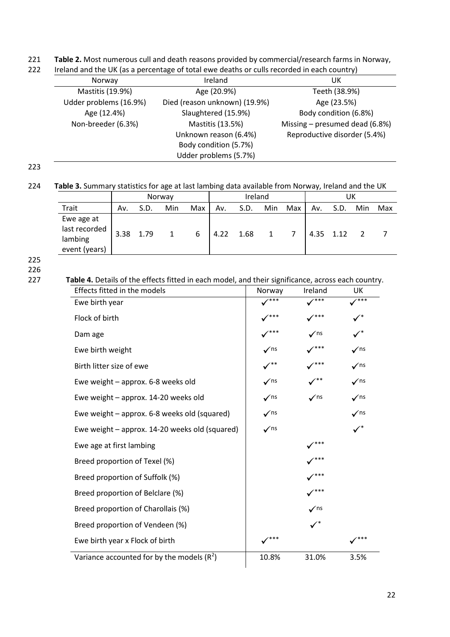221 **Table 2.** Most numerous cull and death reasons provided by commercial/research farms in Norway,

| 222 | Ireland and the UK (as a percentage of total ewe deaths or culls recorded in each country) |                               |                                |  |  |  |  |  |
|-----|--------------------------------------------------------------------------------------------|-------------------------------|--------------------------------|--|--|--|--|--|
|     | Norway                                                                                     | Ireland                       | UK                             |  |  |  |  |  |
|     | Mastitis (19.9%)                                                                           | Age (20.9%)                   | Teeth (38.9%)                  |  |  |  |  |  |
|     | Udder problems (16.9%)                                                                     | Died (reason unknown) (19.9%) | Age (23.5%)                    |  |  |  |  |  |
|     | Age (12.4%)                                                                                | Slaughtered (15.9%)           | Body condition (6.8%)          |  |  |  |  |  |
|     | Non-breeder (6.3%)                                                                         | Mastitis (13.5%)              | Missing - presumed dead (6.8%) |  |  |  |  |  |
|     |                                                                                            | Unknown reason (6.4%)         | Reproductive disorder (5.4%)   |  |  |  |  |  |
|     |                                                                                            | Body condition (5.7%)         |                                |  |  |  |  |  |
|     |                                                                                            | Udder problems (5.7%)         |                                |  |  |  |  |  |

224 **Table 3.** Summary statistics for age at last lambing data available from Norway, Ireland and the UK

|                                                         | Norway    |      |              |     | Ireland |      |     |     | UK   |      |     |     |
|---------------------------------------------------------|-----------|------|--------------|-----|---------|------|-----|-----|------|------|-----|-----|
| <b>Trait</b>                                            | Av.       | S.D. | Min          | Max | Av.     | S.D. | Min | Max | Av.  | S.D. | Min | Max |
| Ewe age at<br>last recorded<br>lambing<br>event (years) | 3.38 1.79 |      | $\mathbf{1}$ | 6   | 4.22    | 1.68 | 1   | 7   | 4.35 | 1.12 |     |     |

225

226

227 **Table 4.** Details of the effects fitted in each model, and their significance, across each country.

| Effects fitted in the models                   | Norway          | Ireland             | UK              |
|------------------------------------------------|-----------------|---------------------|-----------------|
| Ewe birth year                                 | $V^{***}$       | $\mathcal{V}^{***}$ | $7***$          |
| Flock of birth                                 | $\checkmark$    | $\checkmark$        |                 |
| Dam age                                        | $\checkmark$    | $\checkmark$ ns     |                 |
| Ewe birth weight                               | $\checkmark$ ns | $\checkmark$        | $\checkmark$ ns |
| Birth litter size of ewe                       | $\checkmark$    | $\bigwedge^{***}$   | $\checkmark$ ns |
| Ewe weight - approx. 6-8 weeks old             | $\checkmark$ ns | $\checkmark^{**}$   | $\checkmark$ ns |
| Ewe weight - approx. 14-20 weeks old           | $\checkmark$ ns | $\checkmark$ ns     | $\checkmark$ ns |
| Ewe weight – approx. 6-8 weeks old (squared)   | $\checkmark$ ns |                     | $\checkmark$ ns |
| Ewe weight - approx. 14-20 weeks old (squared) | $\checkmark$ ns |                     | $\checkmark^*$  |
| Ewe age at first lambing                       |                 | ****                |                 |
| Breed proportion of Texel (%)                  |                 | $\checkmark$        |                 |
| Breed proportion of Suffolk (%)                |                 | $\checkmark$        |                 |
| Breed proportion of Belclare (%)               |                 | $\checkmark$        |                 |
| Breed proportion of Charollais (%)             |                 | $\checkmark$ ns     |                 |
| Breed proportion of Vendeen (%)                |                 | $\checkmark^*$      |                 |
| Ewe birth year x Flock of birth                | $V$ ***         |                     | $V^{***}$       |
| Variance accounted for by the models $(R2)$    | 10.8%           | 31.0%               | 3.5%            |
|                                                |                 |                     |                 |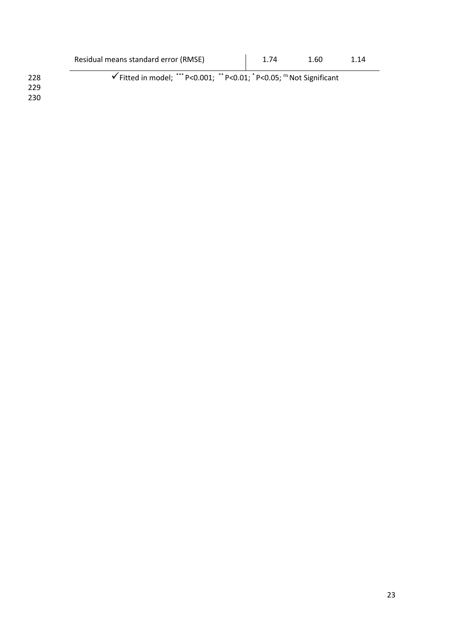|        | Residual means standard error (RMSE)                                              | 1.74 | 1.60 | 1.14 |
|--------|-----------------------------------------------------------------------------------|------|------|------|
| 228    | $\checkmark$ Fitted in model; *** P<0.001; ** P<0.01; *P<0.05; ns Not Significant |      |      |      |
| 229    |                                                                                   |      |      |      |
| $\sim$ |                                                                                   |      |      |      |